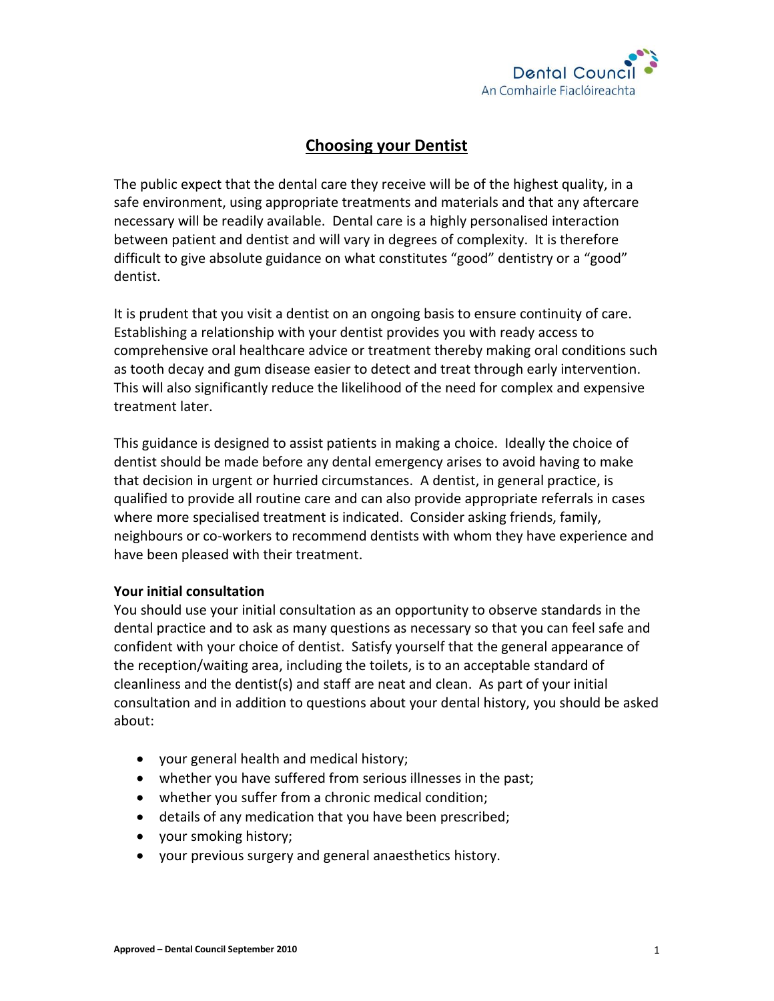

# **Choosing your Dentist**

The public expect that the dental care they receive will be of the highest quality, in a safe environment, using appropriate treatments and materials and that any aftercare necessary will be readily available. Dental care is a highly personalised interaction between patient and dentist and will vary in degrees of complexity. It is therefore difficult to give absolute guidance on what constitutes "good" dentistry or a "good" dentist.

It is prudent that you visit a dentist on an ongoing basis to ensure continuity of care. Establishing a relationship with your dentist provides you with ready access to comprehensive oral healthcare advice or treatment thereby making oral conditions such as tooth decay and gum disease easier to detect and treat through early intervention. This will also significantly reduce the likelihood of the need for complex and expensive treatment later.

This guidance is designed to assist patients in making a choice. Ideally the choice of dentist should be made before any dental emergency arises to avoid having to make that decision in urgent or hurried circumstances. A dentist, in general practice, is qualified to provide all routine care and can also provide appropriate referrals in cases where more specialised treatment is indicated. Consider asking friends, family, neighbours or co-workers to recommend dentists with whom they have experience and have been pleased with their treatment.

## **Your initial consultation**

You should use your initial consultation as an opportunity to observe standards in the dental practice and to ask as many questions as necessary so that you can feel safe and confident with your choice of dentist. Satisfy yourself that the general appearance of the reception/waiting area, including the toilets, is to an acceptable standard of cleanliness and the dentist(s) and staff are neat and clean. As part of your initial consultation and in addition to questions about your dental history, you should be asked about:

- your general health and medical history;
- whether you have suffered from serious illnesses in the past;
- whether you suffer from a chronic medical condition;
- details of any medication that you have been prescribed;
- your smoking history;
- your previous surgery and general anaesthetics history.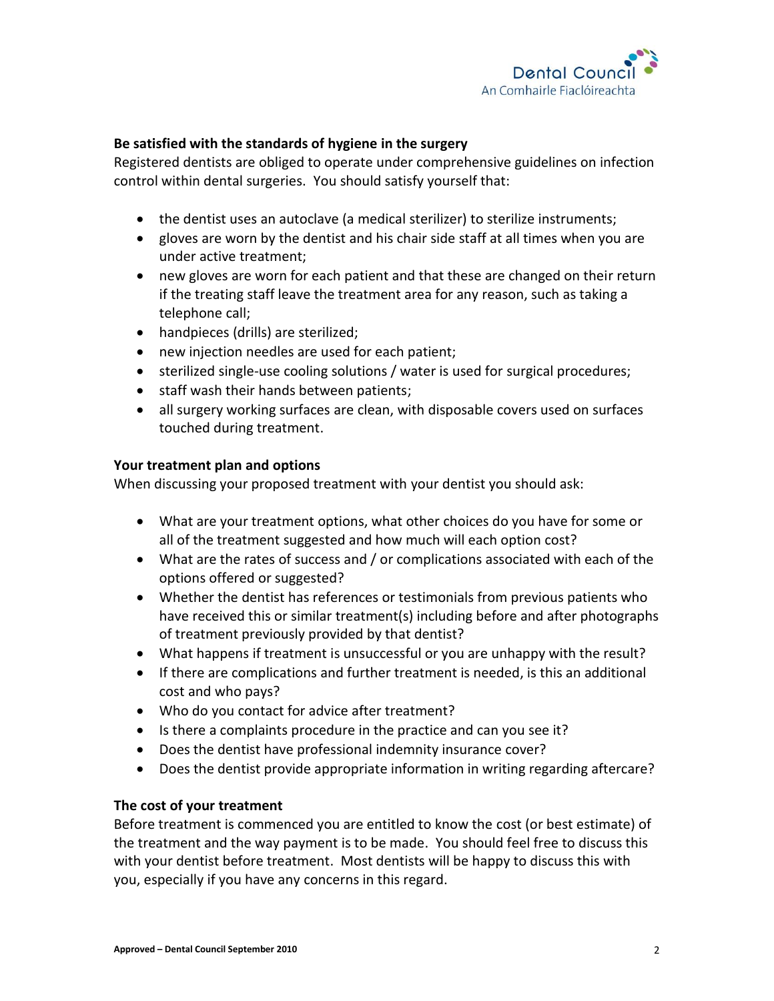

#### **Be satisfied with the standards of hygiene in the surgery**

Registered dentists are obliged to operate under comprehensive guidelines on infection control within dental surgeries. You should satisfy yourself that:

- the dentist uses an autoclave (a medical sterilizer) to sterilize instruments;
- gloves are worn by the dentist and his chair side staff at all times when you are under active treatment;
- new gloves are worn for each patient and that these are changed on their return if the treating staff leave the treatment area for any reason, such as taking a telephone call;
- handpieces (drills) are sterilized;
- new injection needles are used for each patient;
- sterilized single-use cooling solutions / water is used for surgical procedures;
- staff wash their hands between patients;
- all surgery working surfaces are clean, with disposable covers used on surfaces touched during treatment.

#### **Your treatment plan and options**

When discussing your proposed treatment with your dentist you should ask:

- What are your treatment options, what other choices do you have for some or all of the treatment suggested and how much will each option cost?
- What are the rates of success and / or complications associated with each of the options offered or suggested?
- Whether the dentist has references or testimonials from previous patients who have received this or similar treatment(s) including before and after photographs of treatment previously provided by that dentist?
- What happens if treatment is unsuccessful or you are unhappy with the result?
- If there are complications and further treatment is needed, is this an additional cost and who pays?
- Who do you contact for advice after treatment?
- Is there a complaints procedure in the practice and can you see it?
- Does the dentist have professional indemnity insurance cover?
- Does the dentist provide appropriate information in writing regarding aftercare?

## **The cost of your treatment**

Before treatment is commenced you are entitled to know the cost (or best estimate) of the treatment and the way payment is to be made. You should feel free to discuss this with your dentist before treatment. Most dentists will be happy to discuss this with you, especially if you have any concerns in this regard.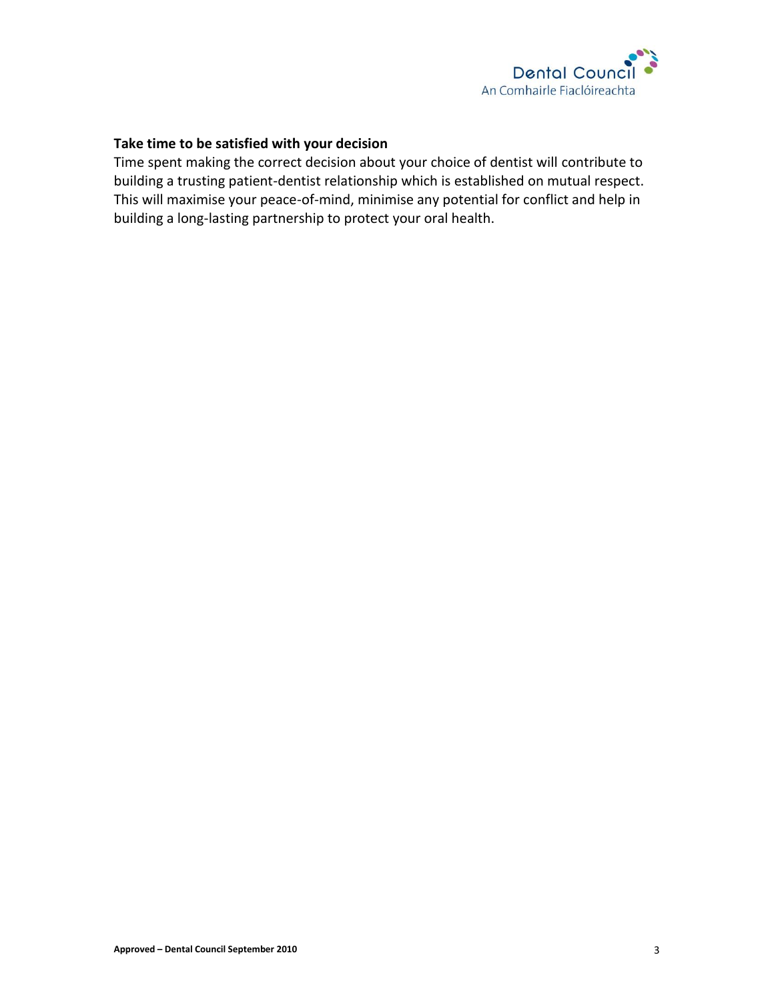

#### **Take time to be satisfied with your decision**

Time spent making the correct decision about your choice of dentist will contribute to building a trusting patient-dentist relationship which is established on mutual respect. This will maximise your peace-of-mind, minimise any potential for conflict and help in building a long-lasting partnership to protect your oral health.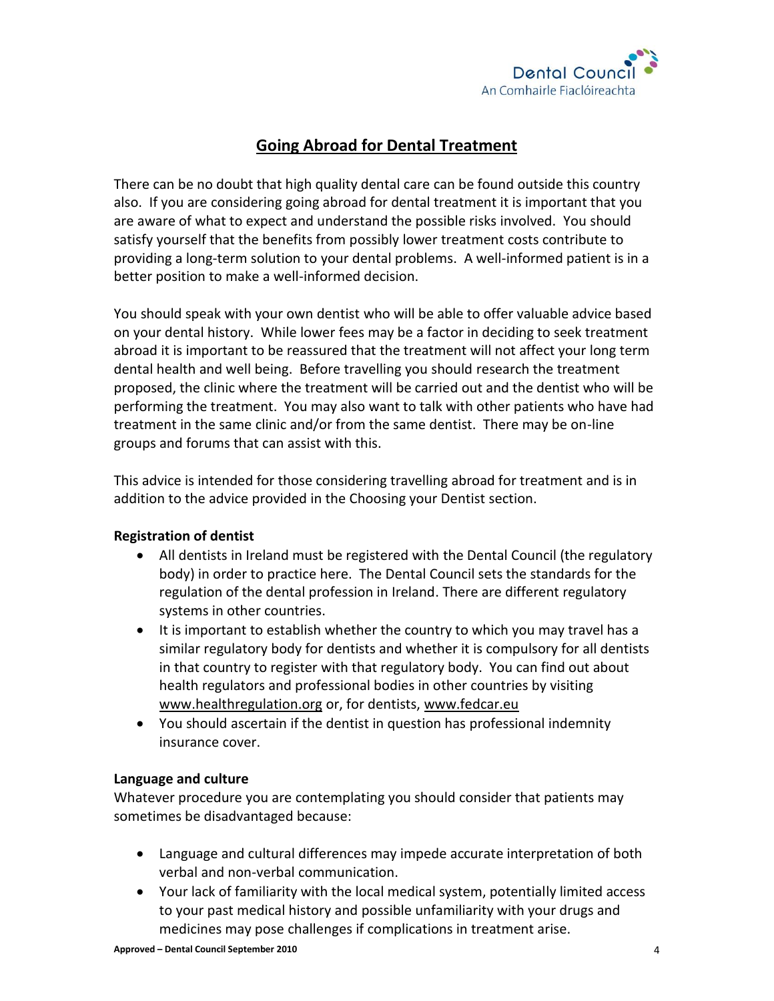

# **Going Abroad for Dental Treatment**

There can be no doubt that high quality dental care can be found outside this country also. If you are considering going abroad for dental treatment it is important that you are aware of what to expect and understand the possible risks involved. You should satisfy yourself that the benefits from possibly lower treatment costs contribute to providing a long-term solution to your dental problems. A well-informed patient is in a better position to make a well-informed decision.

You should speak with your own dentist who will be able to offer valuable advice based on your dental history. While lower fees may be a factor in deciding to seek treatment abroad it is important to be reassured that the treatment will not affect your long term dental health and well being. Before travelling you should research the treatment proposed, the clinic where the treatment will be carried out and the dentist who will be performing the treatment. You may also want to talk with other patients who have had treatment in the same clinic and/or from the same dentist. There may be on-line groups and forums that can assist with this.

This advice is intended for those considering travelling abroad for treatment and is in addition to the advice provided in the Choosing your Dentist section.

## **Registration of dentist**

- All dentists in Ireland must be registered with the Dental Council (the regulatory body) in order to practice here. The Dental Council sets the standards for the regulation of the dental profession in Ireland. There are different regulatory systems in other countries.
- It is important to establish whether the country to which you may travel has a similar regulatory body for dentists and whether it is compulsory for all dentists in that country to register with that regulatory body. You can find out about health regulators and professional bodies in other countries by visiting [www.healthregulation.org](http://www.healthregulation.org/) or, for dentists, [www.fedcar.eu](http://www.code-europe.eu/)
- You should ascertain if the dentist in question has professional indemnity insurance cover.

## **Language and culture**

Whatever procedure you are contemplating you should consider that patients may sometimes be disadvantaged because:

- Language and cultural differences may impede accurate interpretation of both verbal and non-verbal communication.
- Your lack of familiarity with the local medical system, potentially limited access to your past medical history and possible unfamiliarity with your drugs and medicines may pose challenges if complications in treatment arise.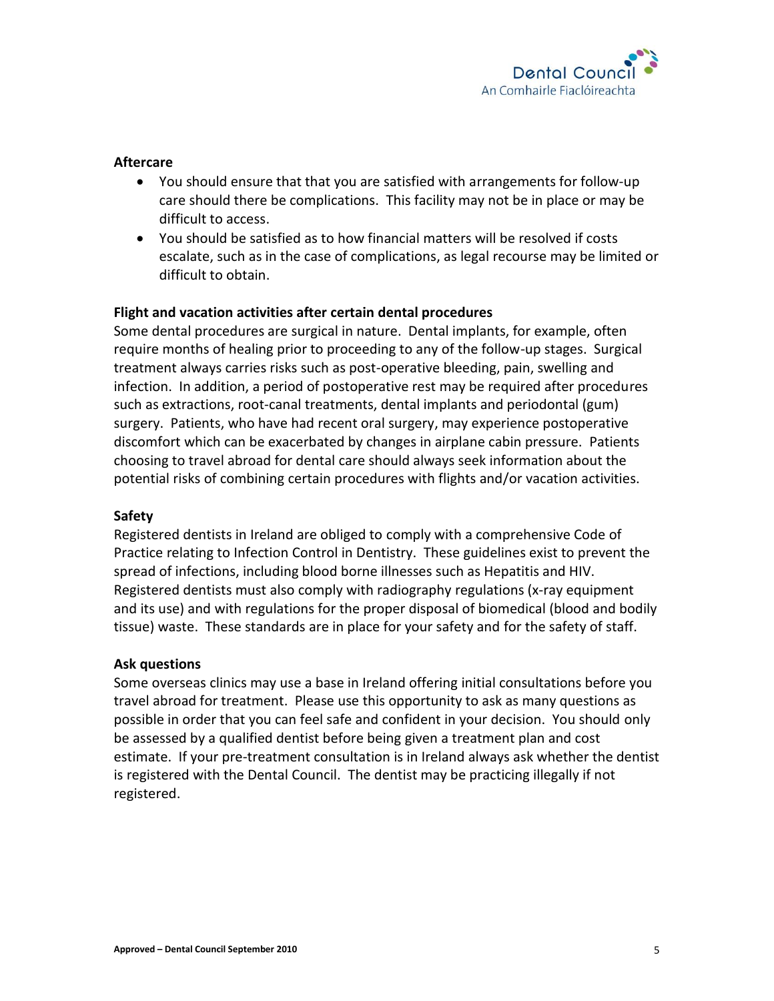

#### **Aftercare**

- You should ensure that that you are satisfied with arrangements for follow-up care should there be complications. This facility may not be in place or may be difficult to access.
- You should be satisfied as to how financial matters will be resolved if costs escalate, such as in the case of complications, as legal recourse may be limited or difficult to obtain.

#### **Flight and vacation activities after certain dental procedures**

Some dental procedures are surgical in nature. Dental implants, for example, often require months of healing prior to proceeding to any of the follow-up stages. Surgical treatment always carries risks such as post-operative bleeding, pain, swelling and infection. In addition, a period of postoperative rest may be required after procedures such as extractions, root-canal treatments, dental implants and periodontal (gum) surgery. Patients, who have had recent oral surgery, may experience postoperative discomfort which can be exacerbated by changes in airplane cabin pressure. Patients choosing to travel abroad for dental care should always seek information about the potential risks of combining certain procedures with flights and/or vacation activities.

#### **Safety**

Registered dentists in Ireland are obliged to comply with a comprehensive Code of Practice relating to Infection Control in Dentistry. These guidelines exist to prevent the spread of infections, including blood borne illnesses such as Hepatitis and HIV. Registered dentists must also comply with radiography regulations (x-ray equipment and its use) and with regulations for the proper disposal of biomedical (blood and bodily tissue) waste. These standards are in place for your safety and for the safety of staff.

#### **Ask questions**

Some overseas clinics may use a base in Ireland offering initial consultations before you travel abroad for treatment. Please use this opportunity to ask as many questions as possible in order that you can feel safe and confident in your decision. You should only be assessed by a qualified dentist before being given a treatment plan and cost estimate. If your pre-treatment consultation is in Ireland always ask whether the dentist is registered with the Dental Council. The dentist may be practicing illegally if not registered.